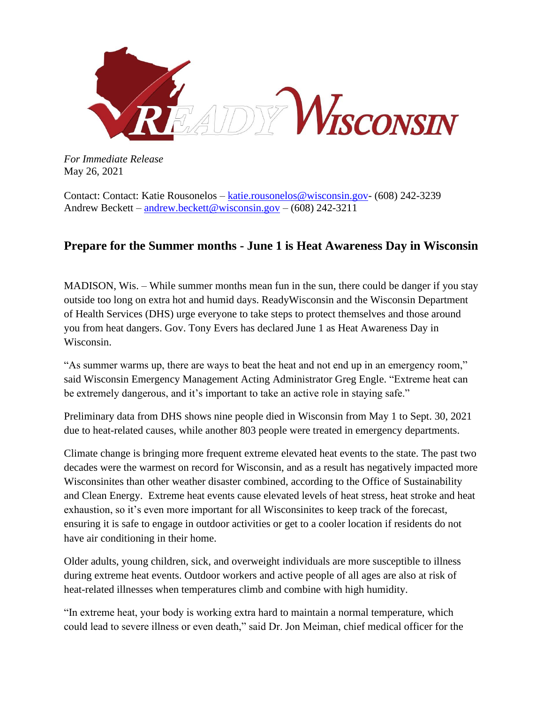

*For Immediate Release*  May 26, 2021

Contact: Contact: Katie Rousonelos – [katie.rousonelos@wisconsin.gov-](mailto:katie.rousonelos@wisconsin.gov) (608) 242-3239 Andrew Beckett – [andrew.beckett@wisconsin.gov](mailto:andrew.beckett@wisconsin.gov) – (608) 242-3211

## **Prepare for the Summer months - June 1 is Heat Awareness Day in Wisconsin**

MADISON, Wis. – While summer months mean fun in the sun, there could be danger if you stay outside too long on extra hot and humid days. ReadyWisconsin and the Wisconsin Department of Health Services (DHS) urge everyone to take steps to protect themselves and those around you from heat dangers. Gov. Tony Evers has declared June 1 as Heat Awareness Day in Wisconsin.

"As summer warms up, there are ways to beat the heat and not end up in an emergency room," said Wisconsin Emergency Management Acting Administrator Greg Engle. "Extreme heat can be extremely dangerous, and it's important to take an active role in staying safe."

Preliminary data from DHS shows nine people died in Wisconsin from May 1 to Sept. 30, 2021 due to heat-related causes, while another 803 people were treated in emergency departments.

Climate change is bringing more frequent extreme elevated heat events to the state. The past two decades were the warmest on record for Wisconsin, and as a result has negatively impacted more Wisconsinites than other weather disaster combined, according to the Office of Sustainability and Clean Energy. Extreme heat events cause elevated levels of heat stress, heat stroke and heat exhaustion, so it's even more important for all Wisconsinites to keep track of the forecast, ensuring it is safe to engage in outdoor activities or get to a cooler location if residents do not have air conditioning in their home.

Older adults, young children, sick, and overweight individuals are more susceptible to illness during extreme heat events. Outdoor workers and active people of all ages are also at risk of heat-related illnesses when temperatures climb and combine with high humidity.

"In extreme heat, your body is working extra hard to maintain a normal temperature, which could lead to severe illness or even death," said Dr. Jon Meiman, chief medical officer for the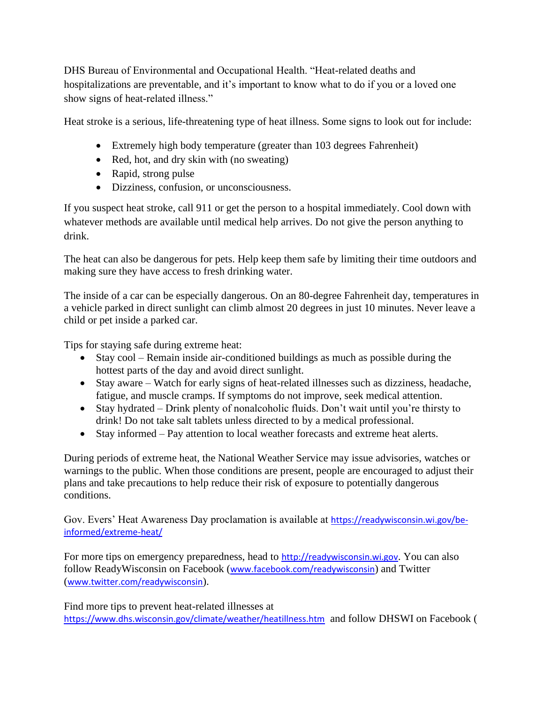DHS Bureau of Environmental and Occupational Health. "Heat-related deaths and hospitalizations are preventable, and it's important to know what to do if you or a loved one show signs of heat-related illness."

Heat stroke is a serious, life-threatening type of heat illness. Some signs to look out for include:

- Extremely high body temperature (greater than 103 degrees Fahrenheit)
- Red, hot, and dry skin with (no sweating)
- Rapid, strong pulse
- Dizziness, confusion, or unconsciousness.

If you suspect heat stroke, call 911 or get the person to a hospital immediately. Cool down with whatever methods are available until medical help arrives. Do not give the person anything to drink.

The heat can also be dangerous for pets. Help keep them safe by limiting their time outdoors and making sure they have access to fresh drinking water.

The inside of a car can be especially dangerous. On an 80-degree Fahrenheit day, temperatures in a vehicle parked in direct sunlight can climb almost 20 degrees in just 10 minutes. Never leave a child or pet inside a parked car.

Tips for staying safe during extreme heat:

- Stay cool Remain inside air-conditioned buildings as much as possible during the hottest parts of the day and avoid direct sunlight.
- Stay aware Watch for early signs of heat-related illnesses such as dizziness, headache, fatigue, and muscle cramps. If symptoms do not improve, seek medical attention.
- Stay hydrated Drink plenty of nonalcoholic fluids. Don't wait until you're thirsty to drink! Do not take salt tablets unless directed to by a medical professional.
- Stay informed Pay attention to local weather forecasts and extreme heat alerts.

During periods of extreme heat, the National Weather Service may issue advisories, watches or warnings to the public. When those conditions are present, people are encouraged to adjust their plans and take precautions to help reduce their risk of exposure to potentially dangerous conditions.

Gov. Evers' Heat Awareness Day proclamation is available at [https://readywisconsin.wi.gov/be](https://readywisconsin.wi.gov/be-informed/extreme-heat/)[informed/extreme-heat/](https://readywisconsin.wi.gov/be-informed/extreme-heat/)

For more tips on emergency preparedness, head to [http://readywisconsin.wi.gov](http://readywisconsin.wi.gov/). You can also follow ReadyWisconsin on Facebook ([www.facebook.com/readywisconsin](http://www.facebook.com/readywisconsin)) and Twitter ([www.twitter.com/readywisconsin](http://www.twitter.com/readywisconsin)).

Find more tips to prevent heat-related illnesses at <https://www.dhs.wisconsin.gov/climate/weather/heatillness.htm> and follow DHSWI on Facebook (